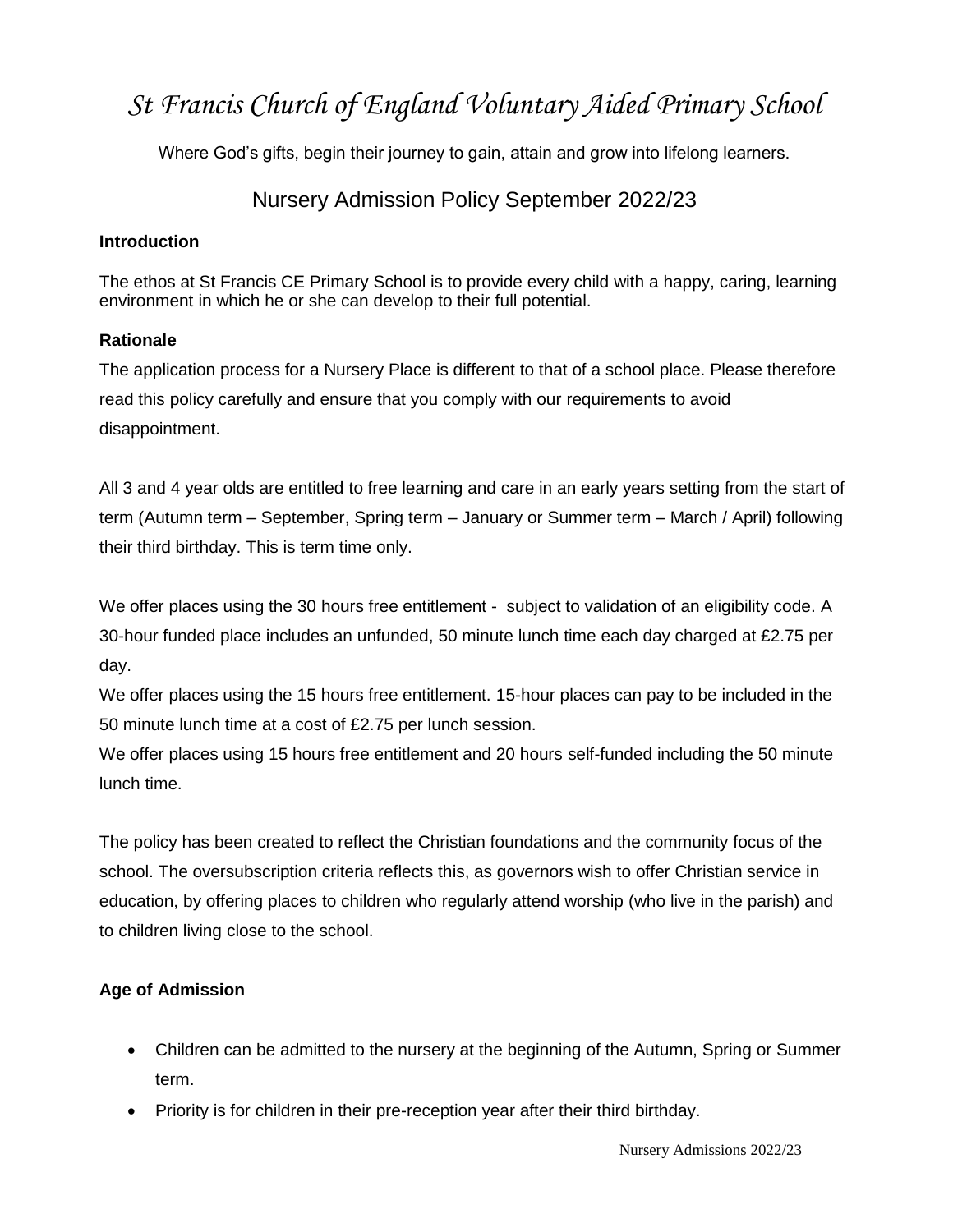# *St Francis Church of England Voluntary Aided Primary School*

Where God's gifts, begin their journey to gain, attain and grow into lifelong learners.

# Nursery Admission Policy September 2022/23

## **Introduction**

The ethos at St Francis CE Primary School is to provide every child with a happy, caring, learning environment in which he or she can develop to their full potential.

### **Rationale**

The application process for a Nursery Place is different to that of a school place. Please therefore read this policy carefully and ensure that you comply with our requirements to avoid disappointment.

All 3 and 4 year olds are entitled to free learning and care in an early years setting from the start of term (Autumn term – September, Spring term – January or Summer term – March / April) following their third birthday. This is term time only.

We offer places using the 30 hours free entitlement - subject to validation of an eligibility code. A 30-hour funded place includes an unfunded, 50 minute lunch time each day charged at £2.75 per day.

We offer places using the 15 hours free entitlement. 15-hour places can pay to be included in the 50 minute lunch time at a cost of £2.75 per lunch session.

We offer places using 15 hours free entitlement and 20 hours self-funded including the 50 minute lunch time.

The policy has been created to reflect the Christian foundations and the community focus of the school. The oversubscription criteria reflects this, as governors wish to offer Christian service in education, by offering places to children who regularly attend worship (who live in the parish) and to children living close to the school.

## **Age of Admission**

- Children can be admitted to the nursery at the beginning of the Autumn, Spring or Summer term.
- Priority is for children in their pre-reception year after their third birthday.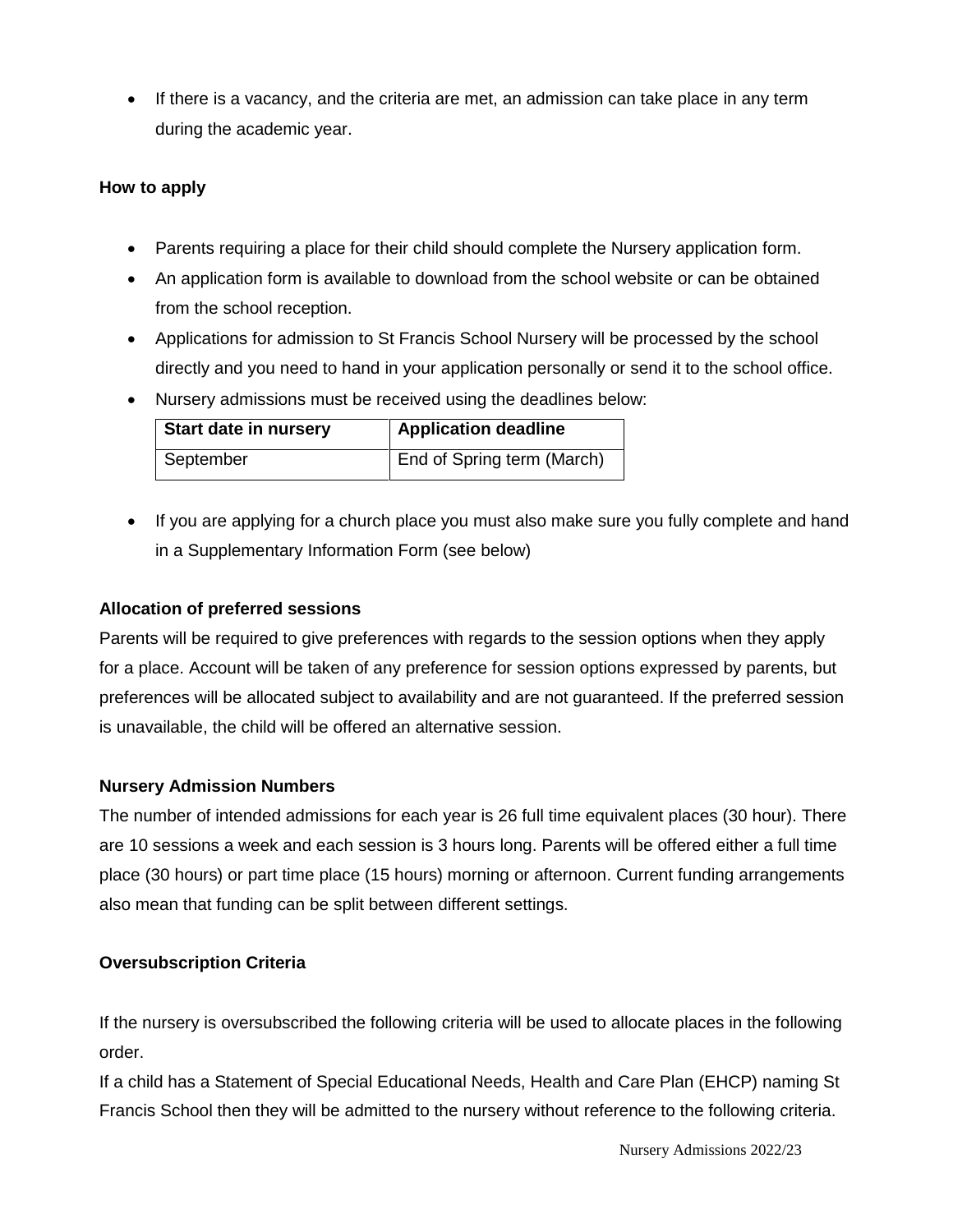• If there is a vacancy, and the criteria are met, an admission can take place in any term during the academic year.

#### **How to apply**

- Parents requiring a place for their child should complete the Nursery application form.
- An application form is available to download from the school website or can be obtained from the school reception.
- Applications for admission to St Francis School Nursery will be processed by the school directly and you need to hand in your application personally or send it to the school office.
- Nursery admissions must be received using the deadlines below:

| <b>Start date in nursery</b> | <b>Application deadline</b> |
|------------------------------|-----------------------------|
| September                    | End of Spring term (March)  |

• If you are applying for a church place you must also make sure you fully complete and hand in a Supplementary Information Form (see below)

#### **Allocation of preferred sessions**

Parents will be required to give preferences with regards to the session options when they apply for a place. Account will be taken of any preference for session options expressed by parents, but preferences will be allocated subject to availability and are not guaranteed. If the preferred session is unavailable, the child will be offered an alternative session.

### **Nursery Admission Numbers**

The number of intended admissions for each year is 26 full time equivalent places (30 hour). There are 10 sessions a week and each session is 3 hours long. Parents will be offered either a full time place (30 hours) or part time place (15 hours) morning or afternoon. Current funding arrangements also mean that funding can be split between different settings.

### **Oversubscription Criteria**

If the nursery is oversubscribed the following criteria will be used to allocate places in the following order.

If a child has a Statement of Special Educational Needs, Health and Care Plan (EHCP) naming St Francis School then they will be admitted to the nursery without reference to the following criteria.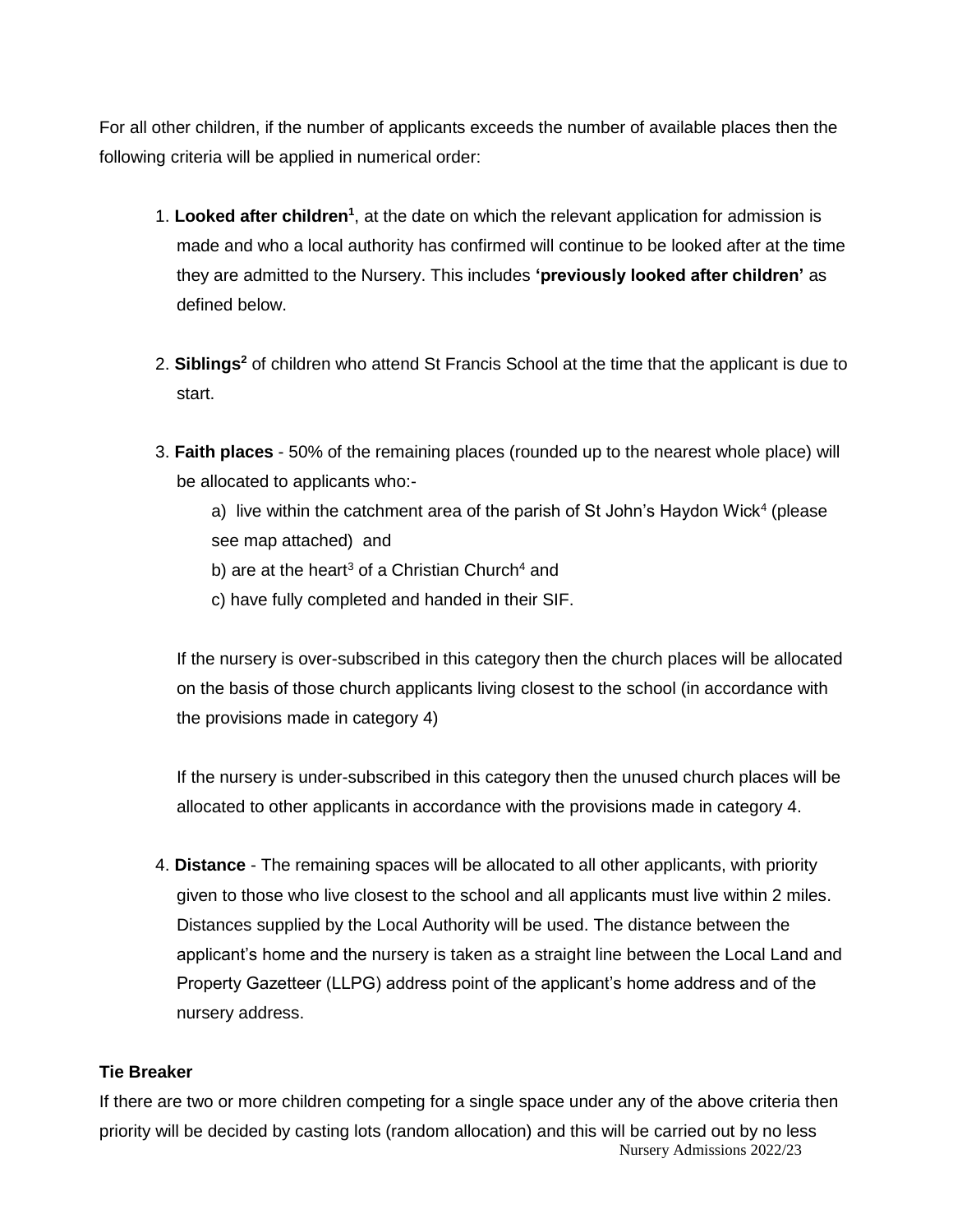For all other children, if the number of applicants exceeds the number of available places then the following criteria will be applied in numerical order:

- 1. Looked after children<sup>1</sup>, at the date on which the relevant application for admission is made and who a local authority has confirmed will continue to be looked after at the time they are admitted to the Nursery. This includes **'previously looked after children'** as defined below.
- 2. **Siblings<sup>2</sup>** of children who attend St Francis School at the time that the applicant is due to start.
- 3. **Faith places** 50% of the remaining places (rounded up to the nearest whole place) will be allocated to applicants who:-

a) live within the catchment area of the parish of St John's Haydon Wick<sup>4</sup> (please see map attached) and

- b) are at the heart<sup>3</sup> of a Christian Church<sup>4</sup> and
- c) have fully completed and handed in their SIF.

If the nursery is over-subscribed in this category then the church places will be allocated on the basis of those church applicants living closest to the school (in accordance with the provisions made in category 4)

If the nursery is under-subscribed in this category then the unused church places will be allocated to other applicants in accordance with the provisions made in category 4.

4. **Distance** - The remaining spaces will be allocated to all other applicants, with priority given to those who live closest to the school and all applicants must live within 2 miles. Distances supplied by the Local Authority will be used. The distance between the applicant's home and the nursery is taken as a straight line between the Local Land and Property Gazetteer (LLPG) address point of the applicant's home address and of the nursery address.

#### **Tie Breaker**

Nursery Admissions 2022/23 If there are two or more children competing for a single space under any of the above criteria then priority will be decided by casting lots (random allocation) and this will be carried out by no less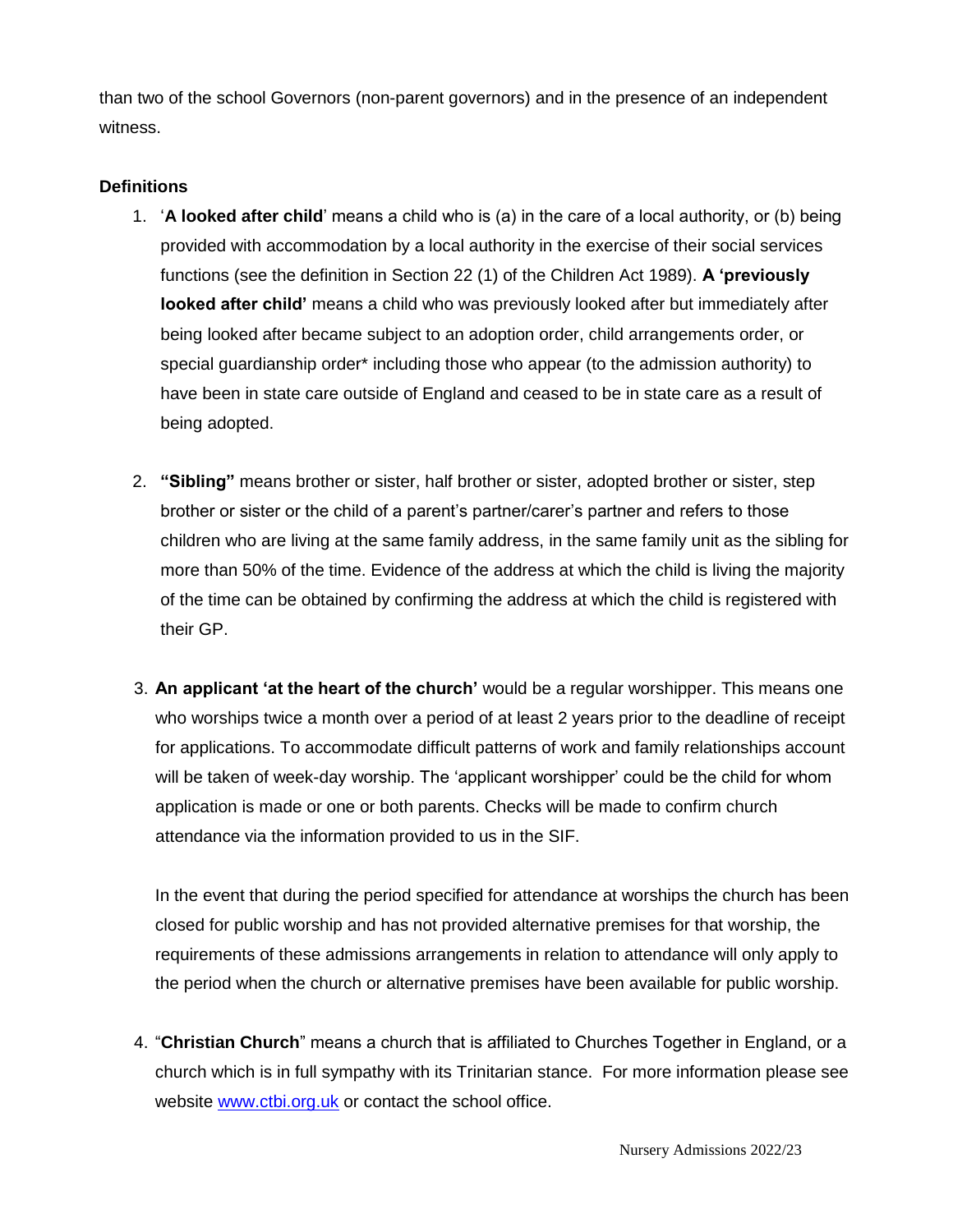than two of the school Governors (non-parent governors) and in the presence of an independent witness.

#### **Definitions**

- 1. '**A looked after child**' means a child who is (a) in the care of a local authority, or (b) being provided with accommodation by a local authority in the exercise of their social services functions (see the definition in Section 22 (1) of the Children Act 1989). **A 'previously looked after child'** means a child who was previously looked after but immediately after being looked after became subject to an adoption order, child arrangements order, or special guardianship order\* including those who appear (to the admission authority) to have been in state care outside of England and ceased to be in state care as a result of being adopted.
- 2. **"Sibling"** means brother or sister, half brother or sister, adopted brother or sister, step brother or sister or the child of a parent's partner/carer's partner and refers to those children who are living at the same family address, in the same family unit as the sibling for more than 50% of the time. Evidence of the address at which the child is living the majority of the time can be obtained by confirming the address at which the child is registered with their GP.
- 3. **An applicant 'at the heart of the church'** would be a regular worshipper. This means one who worships twice a month over a period of at least 2 years prior to the deadline of receipt for applications. To accommodate difficult patterns of work and family relationships account will be taken of week-day worship. The 'applicant worshipper' could be the child for whom application is made or one or both parents. Checks will be made to confirm church attendance via the information provided to us in the SIF.

In the event that during the period specified for attendance at worships the church has been closed for public worship and has not provided alternative premises for that worship, the requirements of these admissions arrangements in relation to attendance will only apply to the period when the church or alternative premises have been available for public worship.

4. "**Christian Church**" means a church that is affiliated to Churches Together in England, or a church which is in full sympathy with its Trinitarian stance. For more information please see website [www.ctbi.org.uk](http://www.ctbi.org.uk/) or contact the school office.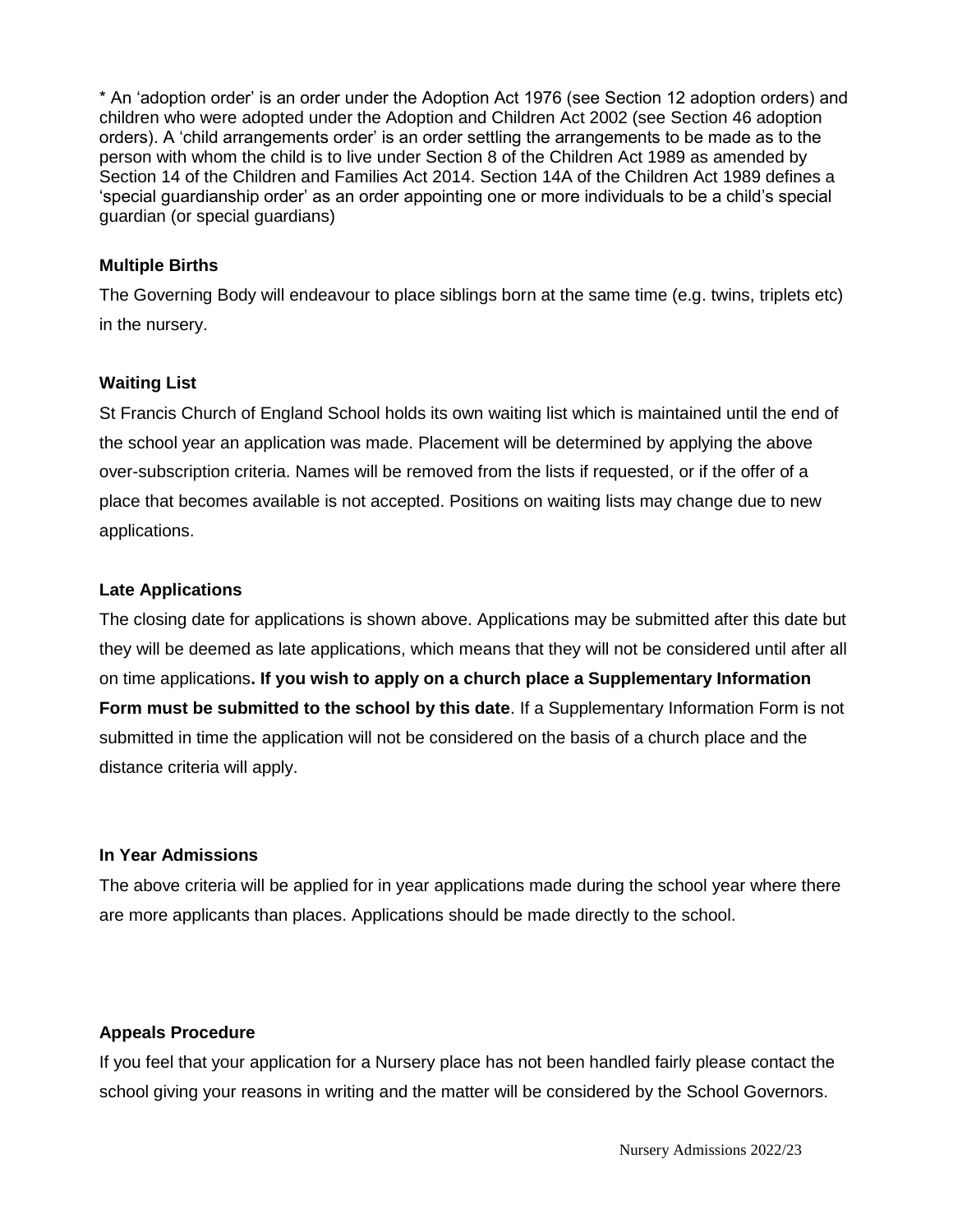\* An 'adoption order' is an order under the Adoption Act 1976 (see Section 12 adoption orders) and children who were adopted under the Adoption and Children Act 2002 (see Section 46 adoption orders). A 'child arrangements order' is an order settling the arrangements to be made as to the person with whom the child is to live under Section 8 of the Children Act 1989 as amended by Section 14 of the Children and Families Act 2014. Section 14A of the Children Act 1989 defines a 'special guardianship order' as an order appointing one or more individuals to be a child's special guardian (or special guardians)

#### **Multiple Births**

The Governing Body will endeavour to place siblings born at the same time (e.g. twins, triplets etc) in the nursery.

#### **Waiting List**

St Francis Church of England School holds its own waiting list which is maintained until the end of the school year an application was made. Placement will be determined by applying the above over-subscription criteria. Names will be removed from the lists if requested, or if the offer of a place that becomes available is not accepted. Positions on waiting lists may change due to new applications.

#### **Late Applications**

The closing date for applications is shown above. Applications may be submitted after this date but they will be deemed as late applications, which means that they will not be considered until after all on time applications**. If you wish to apply on a church place a Supplementary Information Form must be submitted to the school by this date**. If a Supplementary Information Form is not submitted in time the application will not be considered on the basis of a church place and the distance criteria will apply.

#### **In Year Admissions**

The above criteria will be applied for in year applications made during the school year where there are more applicants than places. Applications should be made directly to the school.

### **Appeals Procedure**

If you feel that your application for a Nursery place has not been handled fairly please contact the school giving your reasons in writing and the matter will be considered by the School Governors.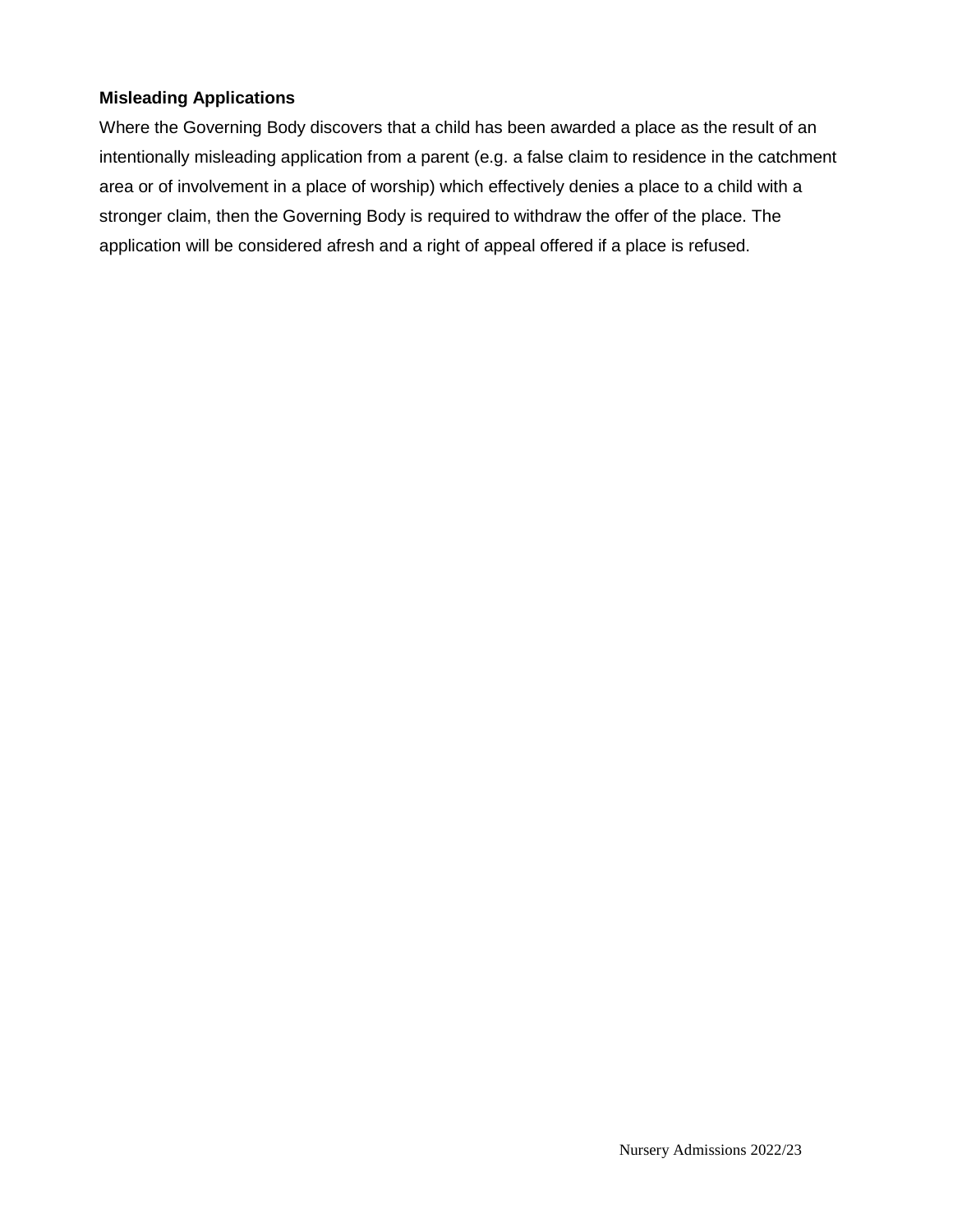#### **Misleading Applications**

Where the Governing Body discovers that a child has been awarded a place as the result of an intentionally misleading application from a parent (e.g. a false claim to residence in the catchment area or of involvement in a place of worship) which effectively denies a place to a child with a stronger claim, then the Governing Body is required to withdraw the offer of the place. The application will be considered afresh and a right of appeal offered if a place is refused.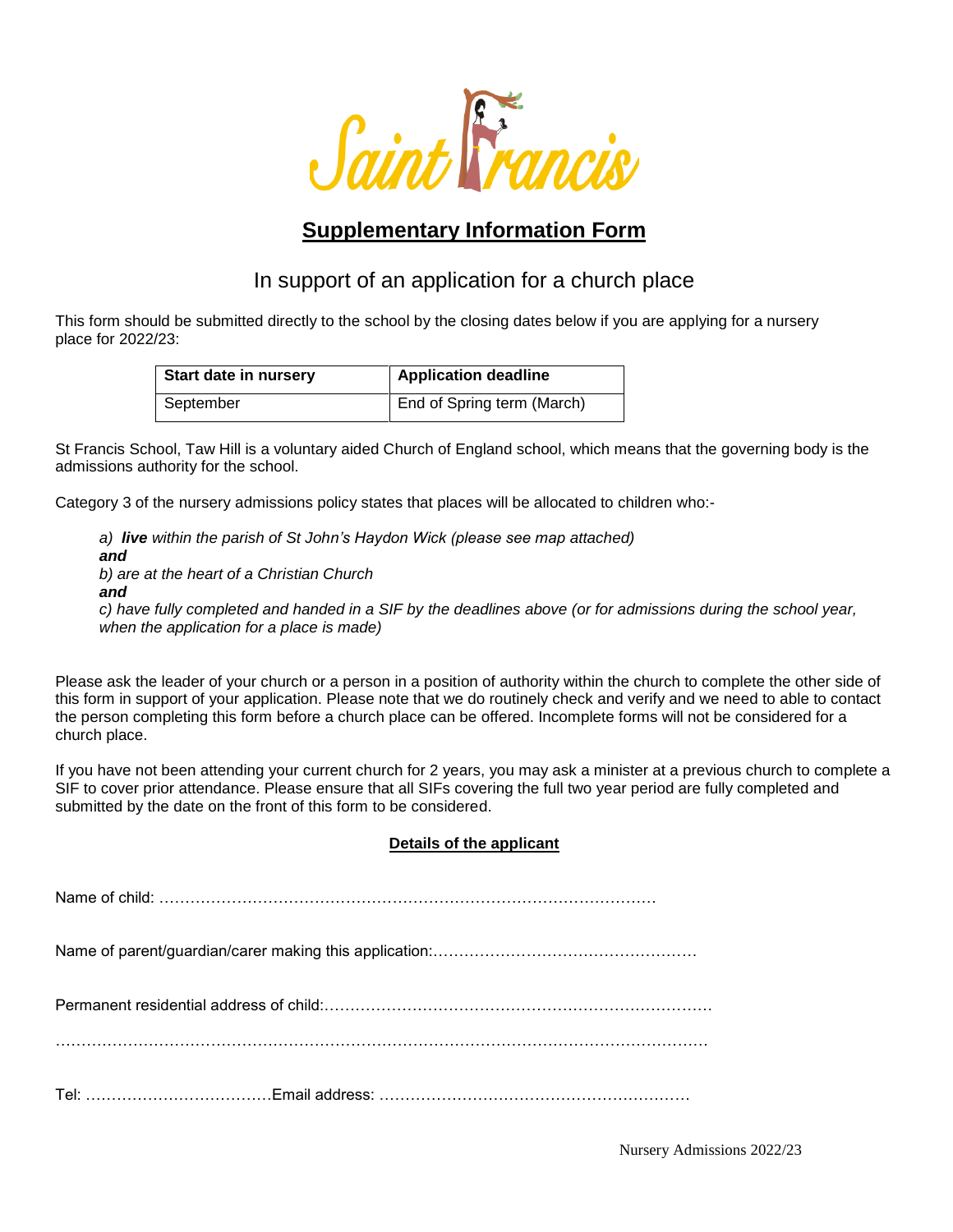

# **Supplementary Information Form**

## In support of an application for a church place

This form should be submitted directly to the school by the closing dates below if you are applying for a nursery place for 2022/23:

| <b>Start date in nursery</b> | <b>Application deadline</b> |
|------------------------------|-----------------------------|
| September                    | End of Spring term (March)  |

St Francis School, Taw Hill is a voluntary aided Church of England school, which means that the governing body is the admissions authority for the school.

Category 3 of the nursery admissions policy states that places will be allocated to children who:-

*a) live within the parish of St John's Haydon Wick (please see map attached) and b) are at the heart of a Christian Church and c) have fully completed and handed in a SIF by the deadlines above (or for admissions during the school year, when the application for a place is made)*

Please ask the leader of your church or a person in a position of authority within the church to complete the other side of this form in support of your application. Please note that we do routinely check and verify and we need to able to contact the person completing this form before a church place can be offered. Incomplete forms will not be considered for a church place.

If you have not been attending your current church for 2 years, you may ask a minister at a previous church to complete a SIF to cover prior attendance. Please ensure that all SIFs covering the full two year period are fully completed and submitted by the date on the front of this form to be considered.

#### **Details of the applicant**

Name of child: ……………………………………………………………………………………

Name of parent/guardian/carer making this application:……………………………………………

Permanent residential address of child:…………………………………………………………………

Tel: ………………………………Email address: ……………………………………………………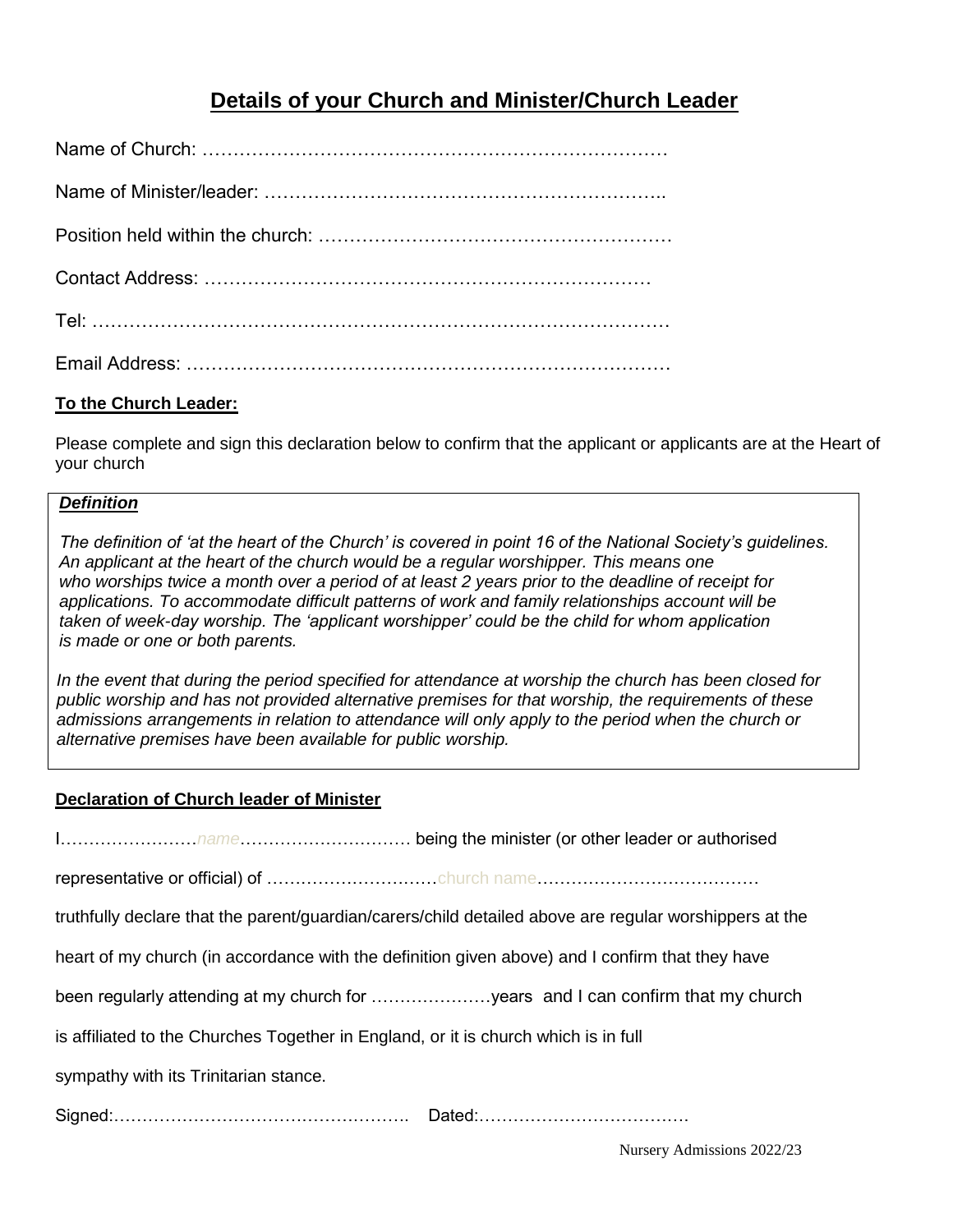## **Details of your Church and Minister/Church Leader**

#### **To the Church Leader:**

Please complete and sign this declaration below to confirm that the applicant or applicants are at the Heart of your church

#### *Definition*

*The definition of 'at the heart of the Church' is covered in point 16 of the National Society's guidelines. An applicant at the heart of the church would be a regular worshipper. This means one who worships twice a month over a period of at least 2 years prior to the deadline of receipt for applications. To accommodate difficult patterns of work and family relationships account will be taken of week-day worship. The 'applicant worshipper' could be the child for whom application is made or one or both parents.*

*In the event that during the period specified for attendance at worship the church has been closed for public worship and has not provided alternative premises for that worship, the requirements of these admissions arrangements in relation to attendance will only apply to the period when the church or alternative premises have been available for public worship.*

#### **Declaration of Church leader of Minister**

| truthfully declare that the parent/guardian/carers/child detailed above are regular worshippers at the |  |  |
|--------------------------------------------------------------------------------------------------------|--|--|
| heart of my church (in accordance with the definition given above) and I confirm that they have        |  |  |
| been regularly attending at my church for years and I can confirm that my church                       |  |  |
| is affiliated to the Churches Together in England, or it is church which is in full                    |  |  |
| sympathy with its Trinitarian stance.                                                                  |  |  |
|                                                                                                        |  |  |